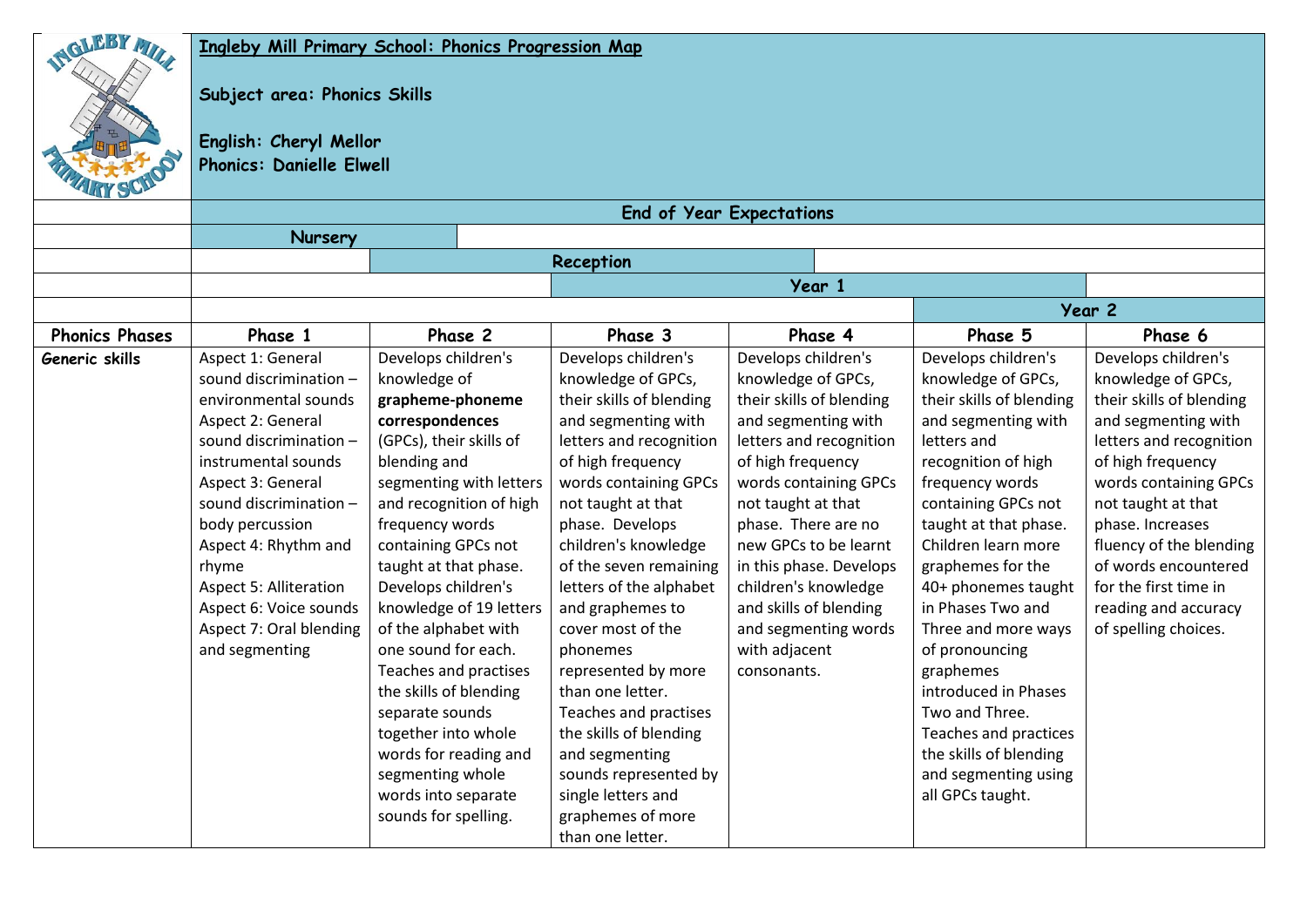| GLEBY MIL             | Ingleby Mill Primary School: Phonics Progression Map<br>Subject area: Phonics Skills<br>English: Cheryl Mellor<br><b>Phonics: Danielle Elwell</b><br><b>End of Year Expectations</b>                                                                                                                                            |                                                                                                                                                                                                                                                                                                                                                                                                                                                                                                                   |                                                                                                                                                                                                                                                                                                                                                                                                                                                                                                                                   |                                                                                                                                                                                                                                                                                                                                                           |                                                                                                                                                                                                                                                                                                                                                                                                                                                                       |                                                                                                                                                                                                                                                                                                                      |  |  |  |  |
|-----------------------|---------------------------------------------------------------------------------------------------------------------------------------------------------------------------------------------------------------------------------------------------------------------------------------------------------------------------------|-------------------------------------------------------------------------------------------------------------------------------------------------------------------------------------------------------------------------------------------------------------------------------------------------------------------------------------------------------------------------------------------------------------------------------------------------------------------------------------------------------------------|-----------------------------------------------------------------------------------------------------------------------------------------------------------------------------------------------------------------------------------------------------------------------------------------------------------------------------------------------------------------------------------------------------------------------------------------------------------------------------------------------------------------------------------|-----------------------------------------------------------------------------------------------------------------------------------------------------------------------------------------------------------------------------------------------------------------------------------------------------------------------------------------------------------|-----------------------------------------------------------------------------------------------------------------------------------------------------------------------------------------------------------------------------------------------------------------------------------------------------------------------------------------------------------------------------------------------------------------------------------------------------------------------|----------------------------------------------------------------------------------------------------------------------------------------------------------------------------------------------------------------------------------------------------------------------------------------------------------------------|--|--|--|--|
|                       | Nursery                                                                                                                                                                                                                                                                                                                         |                                                                                                                                                                                                                                                                                                                                                                                                                                                                                                                   | Reception                                                                                                                                                                                                                                                                                                                                                                                                                                                                                                                         |                                                                                                                                                                                                                                                                                                                                                           |                                                                                                                                                                                                                                                                                                                                                                                                                                                                       |                                                                                                                                                                                                                                                                                                                      |  |  |  |  |
|                       |                                                                                                                                                                                                                                                                                                                                 |                                                                                                                                                                                                                                                                                                                                                                                                                                                                                                                   |                                                                                                                                                                                                                                                                                                                                                                                                                                                                                                                                   |                                                                                                                                                                                                                                                                                                                                                           |                                                                                                                                                                                                                                                                                                                                                                                                                                                                       |                                                                                                                                                                                                                                                                                                                      |  |  |  |  |
|                       |                                                                                                                                                                                                                                                                                                                                 |                                                                                                                                                                                                                                                                                                                                                                                                                                                                                                                   | Year 1<br>Year 2                                                                                                                                                                                                                                                                                                                                                                                                                                                                                                                  |                                                                                                                                                                                                                                                                                                                                                           |                                                                                                                                                                                                                                                                                                                                                                                                                                                                       |                                                                                                                                                                                                                                                                                                                      |  |  |  |  |
|                       |                                                                                                                                                                                                                                                                                                                                 |                                                                                                                                                                                                                                                                                                                                                                                                                                                                                                                   |                                                                                                                                                                                                                                                                                                                                                                                                                                                                                                                                   |                                                                                                                                                                                                                                                                                                                                                           |                                                                                                                                                                                                                                                                                                                                                                                                                                                                       |                                                                                                                                                                                                                                                                                                                      |  |  |  |  |
| <b>Phonics Phases</b> | Phase 1<br>Aspect 1: General                                                                                                                                                                                                                                                                                                    | Phase 2<br>Develops children's                                                                                                                                                                                                                                                                                                                                                                                                                                                                                    | Phase 3<br>Develops children's                                                                                                                                                                                                                                                                                                                                                                                                                                                                                                    | Phase 4<br>Develops children's                                                                                                                                                                                                                                                                                                                            | Phase 5<br>Develops children's                                                                                                                                                                                                                                                                                                                                                                                                                                        | Phase 6<br>Develops children's                                                                                                                                                                                                                                                                                       |  |  |  |  |
| Generic skills        | sound discrimination -<br>environmental sounds<br>Aspect 2: General<br>sound discrimination -<br>instrumental sounds<br>Aspect 3: General<br>sound discrimination -<br>body percussion<br>Aspect 4: Rhythm and<br>rhyme<br><b>Aspect 5: Alliteration</b><br>Aspect 6: Voice sounds<br>Aspect 7: Oral blending<br>and segmenting | knowledge of<br>grapheme-phoneme<br>correspondences<br>(GPCs), their skills of<br>blending and<br>segmenting with letters<br>and recognition of high<br>frequency words<br>containing GPCs not<br>taught at that phase.<br>Develops children's<br>knowledge of 19 letters<br>of the alphabet with<br>one sound for each.<br>Teaches and practises<br>the skills of blending<br>separate sounds<br>together into whole<br>words for reading and<br>segmenting whole<br>words into separate<br>sounds for spelling. | knowledge of GPCs,<br>their skills of blending<br>and segmenting with<br>letters and recognition<br>of high frequency<br>words containing GPCs<br>not taught at that<br>phase. Develops<br>children's knowledge<br>of the seven remaining<br>letters of the alphabet<br>and graphemes to<br>cover most of the<br>phonemes<br>represented by more<br>than one letter.<br>Teaches and practises<br>the skills of blending<br>and segmenting<br>sounds represented by<br>single letters and<br>graphemes of more<br>than one letter. | knowledge of GPCs,<br>their skills of blending<br>and segmenting with<br>letters and recognition<br>of high frequency<br>words containing GPCs<br>not taught at that<br>phase. There are no<br>new GPCs to be learnt<br>in this phase. Develops<br>children's knowledge<br>and skills of blending<br>and segmenting words<br>with adjacent<br>consonants. | knowledge of GPCs,<br>their skills of blending<br>and segmenting with<br>letters and<br>recognition of high<br>frequency words<br>containing GPCs not<br>taught at that phase.<br>Children learn more<br>graphemes for the<br>40+ phonemes taught<br>in Phases Two and<br>Three and more ways<br>of pronouncing<br>graphemes<br>introduced in Phases<br>Two and Three.<br>Teaches and practices<br>the skills of blending<br>and segmenting using<br>all GPCs taught. | knowledge of GPCs,<br>their skills of blending<br>and segmenting with<br>letters and recognition<br>of high frequency<br>words containing GPCs<br>not taught at that<br>phase. Increases<br>fluency of the blending<br>of words encountered<br>for the first time in<br>reading and accuracy<br>of spelling choices. |  |  |  |  |